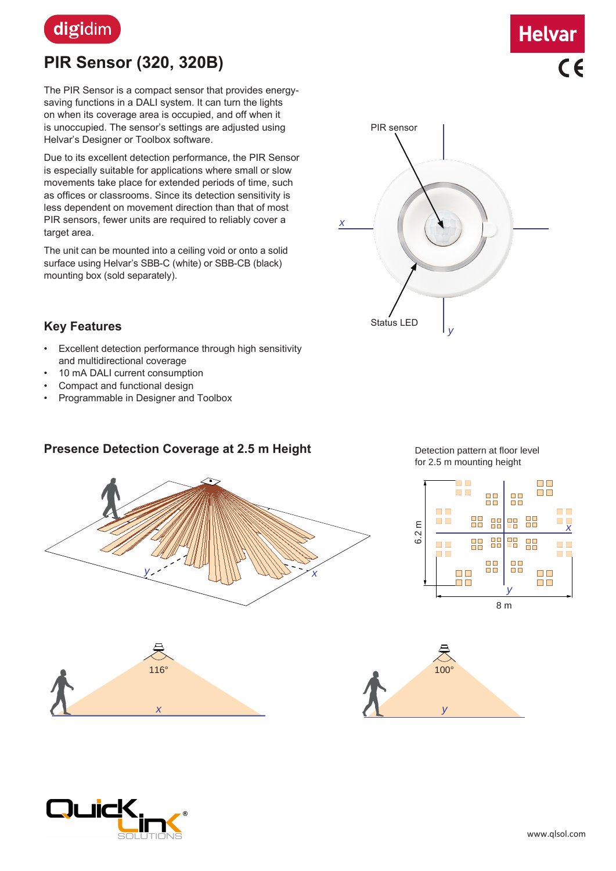

# **PIR Sensor (320, 320B)**

The PIR Sensor is a compact sensor that provides energysaving functions in a DALI system. It can turn the lights on when its coverage area is occupied, and off when it is unoccupied. The sensor's settings are adjusted using Helvar's Designer or Toolbox software.

Due to its excellent detection performance, the PIR Sensor is especially suitable for applications where small or slow movements take place for extended periods of time, such as offices or classrooms. Since its detection sensitivity is less dependent on movement direction than that of most PIR sensors, fewer units are required to reliably cover a target area.

The unit can be mounted into a ceiling void or onto a solid surface using Helvar's SBB-C (white) or SBB-CB (black) mounting box (sold separately).



**Helvar** 

 $C \in$ 

#### **Key Features**

- Excellent detection performance through high sensitivity and multidirectional coverage
- 10 mA DALI current consumption
- Compact and functional design
- Programmable in Designer and Toolbox